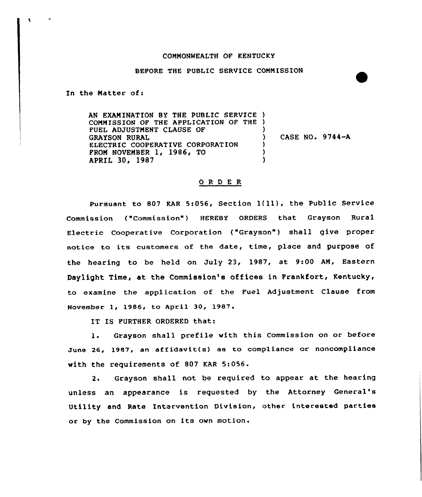## COMMONWEALTH OF KENTUCKY

## BEFORE THE PUBLIC SERVICE COMMISSION

In the Matter of:

Ł

AN EXAMINATION BY THE PUBLIC SERVICE ) COMMISSION OF THE APPLICATION OF THE ) FUEL ADJUSTMENT CLAUSE OF GRAYSON RURAL ELECTRIC COOPERATIVE CORPORATION FROM NOVEMBER 1, 1986, TO APRIL 30, 1987 ) ) CASE NO. 9744-A  $\lambda$ )  $\lambda$ 

## ORDER

Pursuant to <sup>807</sup> KAR 5:056, Section l(ll), the Public Service Commission, ("Commission"} HEREBY ORDERS that Grayson Rural Electric Cooperative Corporation ("Grayson") shall give proper notice to its customers of the date, time, place and purpose of the hearing to be held on July 23, 1987, at 9:00 AM, Eastern Daylight Time, at the Commission's offices in Frankfort, Kentucky, to examine the application of the Fuel Adjustment Clause from November 1, 1986, to April 30, 1987.

IT IS FURTHER ORDERED that:

1. Grayson shall prefile with this Commission on or before June 26, 1987, an affidavit(s} as to compliance or noncompliance with the requirements of 807 KAR 5:056.

2. Grayson shall not be required to appear at the hearing unless an appearance is requested by the Attorney General' Utility and Rate Intervention Division, other interested parties or by the Commission on its own motion.